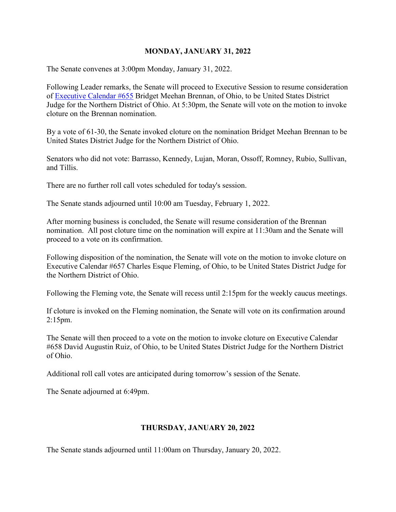#### **MONDAY, JANUARY 31, 2022**

The Senate convenes at 3:00pm Monday, January 31, 2022.

Following Leader remarks, the Senate will proceed to Executive Session to resume consideration of [Executive Calendar #655](https://www.congress.gov/search?searchResultViewType=compact&q=%7b%22source%22:%22nominations%22,%22search%22:%22calendar+655%22,%22congress%22:%22117%22%7d) Bridget Meehan Brennan, of Ohio, to be United States District Judge for the Northern District of Ohio. At 5:30pm, the Senate will vote on the motion to invoke cloture on the Brennan nomination.

By a vote of 61-30, the Senate invoked cloture on the nomination Bridget Meehan Brennan to be United States District Judge for the Northern District of Ohio.

Senators who did not vote: Barrasso, Kennedy, Lujan, Moran, Ossoff, Romney, Rubio, Sullivan, and Tillis.

There are no further roll call votes scheduled for today's session.

The Senate stands adjourned until 10:00 am Tuesday, February 1, 2022.

After morning business is concluded, the Senate will resume consideration of the Brennan nomination. All post cloture time on the nomination will expire at 11:30am and the Senate will proceed to a vote on its confirmation.

Following disposition of the nomination, the Senate will vote on the motion to invoke cloture on Executive Calendar #657 Charles Esque Fleming, of Ohio, to be United States District Judge for the Northern District of Ohio.

Following the Fleming vote, the Senate will recess until 2:15pm for the weekly caucus meetings.

If cloture is invoked on the Fleming nomination, the Senate will vote on its confirmation around 2:15pm.

The Senate will then proceed to a vote on the motion to invoke cloture on Executive Calendar #658 David Augustin Ruiz, of Ohio, to be United States District Judge for the Northern District of Ohio.

Additional roll call votes are anticipated during tomorrow's session of the Senate.

The Senate adjourned at 6:49pm.

#### **THURSDAY, JANUARY 20, 2022**

The Senate stands adjourned until 11:00am on Thursday, January 20, 2022.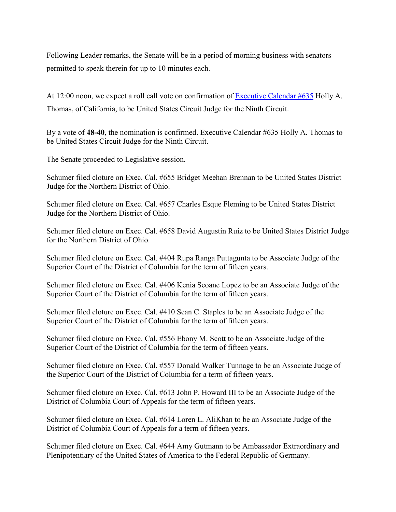Following Leader remarks, the Senate will be in a period of morning business with senators permitted to speak therein for up to 10 minutes each.

At 12:00 noon, we expect a roll call vote on confirmation of [Executive Calendar #635](https://www.congress.gov/search?searchResultViewType=compact&q=%7b%22source%22:%22nominations%22,%22search%22:%22calendar+635%22,%22congress%22:%22117%22%7d) Holly A. Thomas, of California, to be United States Circuit Judge for the Ninth Circuit.

By a vote of **48-40**, the nomination is confirmed. Executive Calendar #635 Holly A. Thomas to be United States Circuit Judge for the Ninth Circuit.

The Senate proceeded to Legislative session.

Schumer filed cloture on Exec. Cal. #655 Bridget Meehan Brennan to be United States District Judge for the Northern District of Ohio.

Schumer filed cloture on Exec. Cal. #657 Charles Esque Fleming to be United States District Judge for the Northern District of Ohio.

Schumer filed cloture on Exec. Cal. #658 David Augustin Ruiz to be United States District Judge for the Northern District of Ohio.

Schumer filed cloture on Exec. Cal. #404 Rupa Ranga Puttagunta to be Associate Judge of the Superior Court of the District of Columbia for the term of fifteen years.

Schumer filed cloture on Exec. Cal. #406 Kenia Seoane Lopez to be an Associate Judge of the Superior Court of the District of Columbia for the term of fifteen years.

Schumer filed cloture on Exec. Cal. #410 Sean C. Staples to be an Associate Judge of the Superior Court of the District of Columbia for the term of fifteen years.

Schumer filed cloture on Exec. Cal. #556 Ebony M. Scott to be an Associate Judge of the Superior Court of the District of Columbia for the term of fifteen years.

Schumer filed cloture on Exec. Cal. #557 Donald Walker Tunnage to be an Associate Judge of the Superior Court of the District of Columbia for a term of fifteen years.

Schumer filed cloture on Exec. Cal. #613 John P. Howard III to be an Associate Judge of the District of Columbia Court of Appeals for the term of fifteen years.

Schumer filed cloture on Exec. Cal. #614 Loren L. AliKhan to be an Associate Judge of the District of Columbia Court of Appeals for a term of fifteen years.

Schumer filed cloture on Exec. Cal. #644 Amy Gutmann to be Ambassador Extraordinary and Plenipotentiary of the United States of America to the Federal Republic of Germany.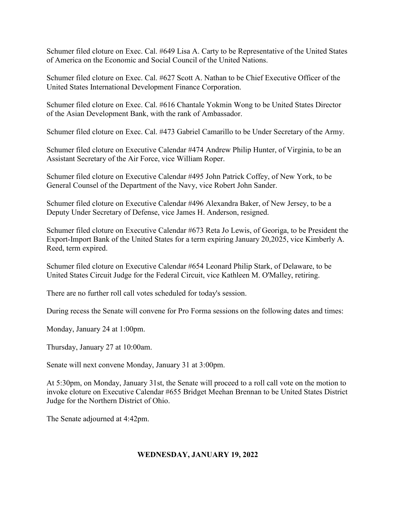Schumer filed cloture on Exec. Cal. #649 Lisa A. Carty to be Representative of the United States of America on the Economic and Social Council of the United Nations.

Schumer filed cloture on Exec. Cal. #627 Scott A. Nathan to be Chief Executive Officer of the United States International Development Finance Corporation.

Schumer filed cloture on Exec. Cal. #616 Chantale Yokmin Wong to be United States Director of the Asian Development Bank, with the rank of Ambassador.

Schumer filed cloture on Exec. Cal. #473 Gabriel Camarillo to be Under Secretary of the Army.

Schumer filed cloture on Executive Calendar #474 Andrew Philip Hunter, of Virginia, to be an Assistant Secretary of the Air Force, vice William Roper.

Schumer filed cloture on Executive Calendar #495 John Patrick Coffey, of New York, to be General Counsel of the Department of the Navy, vice Robert John Sander.

Schumer filed cloture on Executive Calendar #496 Alexandra Baker, of New Jersey, to be a Deputy Under Secretary of Defense, vice James H. Anderson, resigned.

Schumer filed cloture on Executive Calendar #673 Reta Jo Lewis, of Georiga, to be President the Export-Import Bank of the United States for a term expiring January 20,2025, vice Kimberly A. Reed, term expired.

Schumer filed cloture on Executive Calendar #654 Leonard Philip Stark, of Delaware, to be United States Circuit Judge for the Federal Circuit, vice Kathleen M. O'Malley, retiring.

There are no further roll call votes scheduled for today's session.

During recess the Senate will convene for Pro Forma sessions on the following dates and times:

Monday, January 24 at 1:00pm.

Thursday, January 27 at 10:00am.

Senate will next convene Monday, January 31 at 3:00pm.

At 5:30pm, on Monday, January 31st, the Senate will proceed to a roll call vote on the motion to invoke cloture on Executive Calendar #655 Bridget Meehan Brennan to be United States District Judge for the Northern District of Ohio.

The Senate adjourned at 4:42pm.

#### **WEDNESDAY, JANUARY 19, 2022**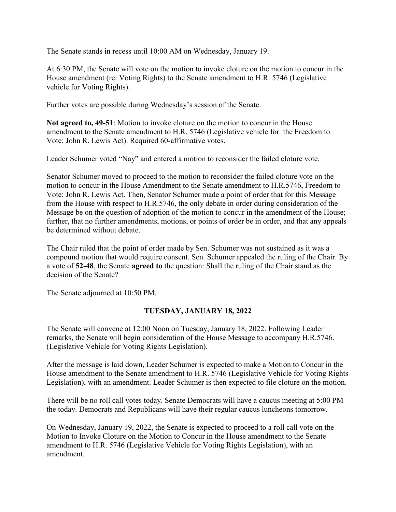The Senate stands in recess until 10:00 AM on Wednesday, January 19.

At 6:30 PM, the Senate will vote on the motion to invoke cloture on the motion to concur in the House amendment (re: Voting Rights) to the Senate amendment to H.R. 5746 (Legislative vehicle for Voting Rights).

Further votes are possible during Wednesday's session of the Senate.

**Not agreed to, 49-51**: Motion to invoke cloture on the motion to concur in the House amendment to the Senate amendment to H.R. 5746 (Legislative vehicle for the Freedom to Vote: John R. Lewis Act). Required 60-affirmative votes.

Leader Schumer voted "Nay" and entered a motion to reconsider the failed cloture vote.

Senator Schumer moved to proceed to the motion to reconsider the failed cloture vote on the motion to concur in the House Amendment to the Senate amendment to H.R.5746, Freedom to Vote: John R. Lewis Act. Then, Senator Schumer made a point of order that for this Message from the House with respect to H.R.5746, the only debate in order during consideration of the Message be on the question of adoption of the motion to concur in the amendment of the House; further, that no further amendments, motions, or points of order be in order, and that any appeals be determined without debate.

The Chair ruled that the point of order made by Sen. Schumer was not sustained as it was a compound motion that would require consent. Sen. Schumer appealed the ruling of the Chair. By a vote of **52-48**, the Senate **agreed to** the question: Shall the ruling of the Chair stand as the decision of the Senate?

The Senate adjourned at 10:50 PM.

### **TUESDAY, JANUARY 18, 2022**

The Senate will convene at 12:00 Noon on Tuesday, January 18, 2022. Following Leader remarks, the Senate will begin consideration of the House Message to accompany H.R.5746. (Legislative Vehicle for Voting Rights Legislation).

After the message is laid down, Leader Schumer is expected to make a Motion to Concur in the House amendment to the Senate amendment to H.R. 5746 (Legislative Vehicle for Voting Rights Legislation), with an amendment. Leader Schumer is then expected to file cloture on the motion.

There will be no roll call votes today. Senate Democrats will have a caucus meeting at 5:00 PM the today. Democrats and Republicans will have their regular caucus luncheons tomorrow.

On Wednesday, January 19, 2022, the Senate is expected to proceed to a roll call vote on the Motion to Invoke Cloture on the Motion to Concur in the House amendment to the Senate amendment to H.R. 5746 (Legislative Vehicle for Voting Rights Legislation), with an amendment.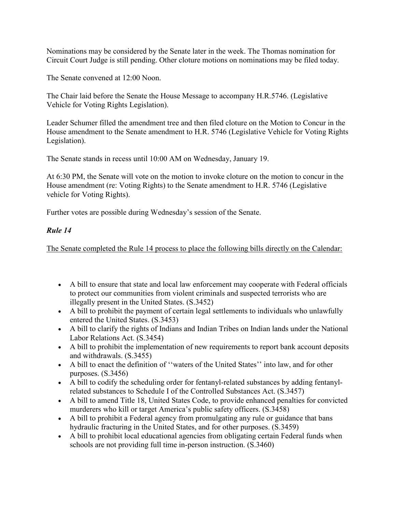Nominations may be considered by the Senate later in the week. The Thomas nomination for Circuit Court Judge is still pending. Other cloture motions on nominations may be filed today.

The Senate convened at 12:00 Noon.

The Chair laid before the Senate the House Message to accompany H.R.5746. (Legislative Vehicle for Voting Rights Legislation).

Leader Schumer filled the amendment tree and then filed cloture on the Motion to Concur in the House amendment to the Senate amendment to H.R. 5746 (Legislative Vehicle for Voting Rights Legislation).

The Senate stands in recess until 10:00 AM on Wednesday, January 19.

At 6:30 PM, the Senate will vote on the motion to invoke cloture on the motion to concur in the House amendment (re: Voting Rights) to the Senate amendment to H.R. 5746 (Legislative vehicle for Voting Rights).

Further votes are possible during Wednesday's session of the Senate.

### *Rule 14*

The Senate completed the Rule 14 process to place the following bills directly on the Calendar:

- A bill to ensure that state and local law enforcement may cooperate with Federal officials to protect our communities from violent criminals and suspected terrorists who are illegally present in the United States. (S.3452)
- A bill to prohibit the payment of certain legal settlements to individuals who unlawfully entered the United States. (S.3453)
- A bill to clarify the rights of Indians and Indian Tribes on Indian lands under the National Labor Relations Act. (S.3454)
- A bill to prohibit the implementation of new requirements to report bank account deposits and withdrawals. (S.3455)
- A bill to enact the definition of "waters of the United States" into law, and for other purposes. (S.3456)
- A bill to codify the scheduling order for fentanyl-related substances by adding fentanylrelated substances to Schedule I of the Controlled Substances Act. (S.3457)
- A bill to amend Title 18, United States Code, to provide enhanced penalties for convicted murderers who kill or target America's public safety officers. (S.3458)
- A bill to prohibit a Federal agency from promulgating any rule or guidance that bans hydraulic fracturing in the United States, and for other purposes. (S.3459)
- A bill to prohibit local educational agencies from obligating certain Federal funds when schools are not providing full time in-person instruction. (S.3460)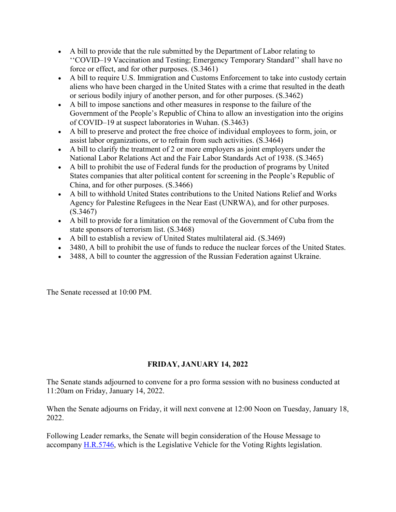- A bill to provide that the rule submitted by the Department of Labor relating to ''COVID–19 Vaccination and Testing; Emergency Temporary Standard'' shall have no force or effect, and for other purposes. (S.3461)
- A bill to require U.S. Immigration and Customs Enforcement to take into custody certain aliens who have been charged in the United States with a crime that resulted in the death or serious bodily injury of another person, and for other purposes. (S.3462)
- A bill to impose sanctions and other measures in response to the failure of the Government of the People's Republic of China to allow an investigation into the origins of COVID–19 at suspect laboratories in Wuhan. (S.3463)
- A bill to preserve and protect the free choice of individual employees to form, join, or assist labor organizations, or to refrain from such activities. (S.3464)
- A bill to clarify the treatment of 2 or more employers as joint employers under the National Labor Relations Act and the Fair Labor Standards Act of 1938. (S.3465)
- A bill to prohibit the use of Federal funds for the production of programs by United States companies that alter political content for screening in the People's Republic of China, and for other purposes. (S.3466)
- A bill to withhold United States contributions to the United Nations Relief and Works Agency for Palestine Refugees in the Near East (UNRWA), and for other purposes. (S.3467)
- A bill to provide for a limitation on the removal of the Government of Cuba from the state sponsors of terrorism list. (S.3468)
- A bill to establish a review of United States multilateral aid. (S.3469)
- 3480, A bill to prohibit the use of funds to reduce the nuclear forces of the United States.
- 3488, A bill to counter the aggression of the Russian Federation against Ukraine.

The Senate recessed at 10:00 PM.

# **FRIDAY, JANUARY 14, 2022**

The Senate stands adjourned to convene for a pro forma session with no business conducted at 11:20am on Friday, January 14, 2022.

When the Senate adjourns on Friday, it will next convene at 12:00 Noon on Tuesday, January 18, 2022.

Following Leader remarks, the Senate will begin consideration of the House Message to accompany [H.R.5746,](http://www.congress.gov/bill/117th-congress/house-bill/5746) which is the Legislative Vehicle for the Voting Rights legislation.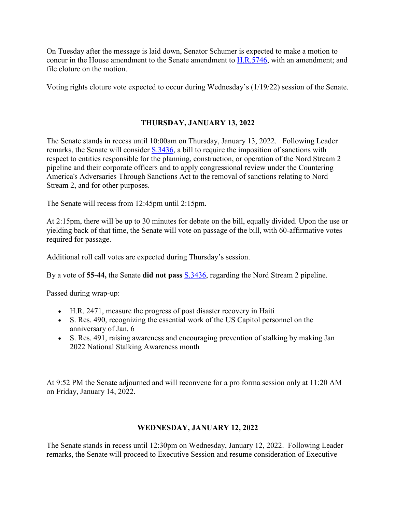On Tuesday after the message is laid down, Senator Schumer is expected to make a motion to concur in the House amendment to the Senate amendment to [H.R.5746,](http://www.congress.gov/bill/117th-congress/house-bill/5746) with an amendment; and file cloture on the motion.

Voting rights cloture vote expected to occur during Wednesday's (1/19/22) session of the Senate.

#### **THURSDAY, JANUARY 13, 2022**

The Senate stands in recess until 10:00am on Thursday, January 13, 2022. Following Leader remarks, the Senate will consider [S.3436,](http://www.congress.gov/bill/117th-congress/senate-bill/3436) a bill to require the imposition of sanctions with respect to entities responsible for the planning, construction, or operation of the Nord Stream 2 pipeline and their corporate officers and to apply congressional review under the Countering America's Adversaries Through Sanctions Act to the removal of sanctions relating to Nord Stream 2, and for other purposes.

The Senate will recess from 12:45pm until 2:15pm.

At 2:15pm, there will be up to 30 minutes for debate on the bill, equally divided. Upon the use or yielding back of that time, the Senate will vote on passage of the bill, with 60-affirmative votes required for passage.

Additional roll call votes are expected during Thursday's session.

By a vote of **55-44,** the Senate **did not pass** [S.3436,](https://www.congress.gov/bill/117th-congress/senate-bill/3436) regarding the Nord Stream 2 pipeline.

Passed during wrap-up:

- H.R. 2471, measure the progress of post disaster recovery in Haiti
- S. Res. 490, recognizing the essential work of the US Capitol personnel on the anniversary of Jan. 6
- S. Res. 491, raising awareness and encouraging prevention of stalking by making Jan 2022 National Stalking Awareness month

At 9:52 PM the Senate adjourned and will reconvene for a pro forma session only at 11:20 AM on Friday, January 14, 2022.

#### **WEDNESDAY, JANUARY 12, 2022**

The Senate stands in recess until 12:30pm on Wednesday, January 12, 2022. Following Leader remarks, the Senate will proceed to Executive Session and resume consideration of Executive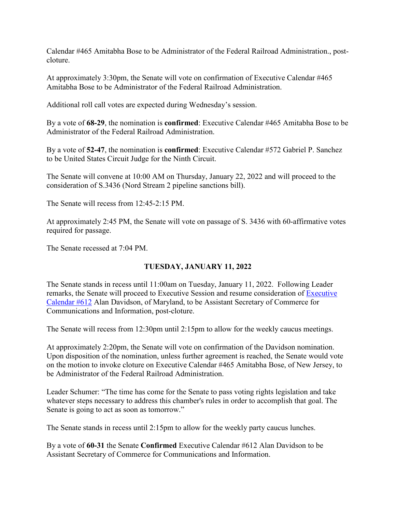Calendar #465 Amitabha Bose to be Administrator of the Federal Railroad Administration., postcloture.

At approximately 3:30pm, the Senate will vote on confirmation of Executive Calendar #465 Amitabha Bose to be Administrator of the Federal Railroad Administration.

Additional roll call votes are expected during Wednesday's session.

By a vote of **68-29**, the nomination is **confirmed**: Executive Calendar #465 Amitabha Bose to be Administrator of the Federal Railroad Administration.

By a vote of **52-47**, the nomination is **confirmed**: Executive Calendar #572 Gabriel P. Sanchez to be United States Circuit Judge for the Ninth Circuit.

The Senate will convene at 10:00 AM on Thursday, January 22, 2022 and will proceed to the consideration of S.3436 (Nord Stream 2 pipeline sanctions bill).

The Senate will recess from 12:45-2:15 PM.

At approximately 2:45 PM, the Senate will vote on passage of S. 3436 with 60-affirmative votes required for passage.

The Senate recessed at 7:04 PM.

### **TUESDAY, JANUARY 11, 2022**

The Senate stands in recess until 11:00am on Tuesday, January 11, 2022. Following Leader remarks, the Senate will proceed to Executive Session and resume consideration of [Executive](https://www.congress.gov/search?searchResultViewType=compact&q=%7b%22source%22:%22nominations%22,%22search%22:%22calendar+612%22,%22congress%22:%22117%22%7d)  [Calendar #612](https://www.congress.gov/search?searchResultViewType=compact&q=%7b%22source%22:%22nominations%22,%22search%22:%22calendar+612%22,%22congress%22:%22117%22%7d) Alan Davidson, of Maryland, to be Assistant Secretary of Commerce for Communications and Information, post-cloture.

The Senate will recess from 12:30pm until 2:15pm to allow for the weekly caucus meetings.

At approximately 2:20pm, the Senate will vote on confirmation of the Davidson nomination. Upon disposition of the nomination, unless further agreement is reached, the Senate would vote on the motion to invoke cloture on Executive Calendar #465 Amitabha Bose, of New Jersey, to be Administrator of the Federal Railroad Administration.

Leader Schumer: "The time has come for the Senate to pass voting rights legislation and take whatever steps necessary to address this chamber's rules in order to accomplish that goal. The Senate is going to act as soon as tomorrow."

The Senate stands in recess until 2:15pm to allow for the weekly party caucus lunches.

By a vote of **60-31** the Senate **Confirmed** Executive Calendar #612 Alan Davidson to be Assistant Secretary of Commerce for Communications and Information.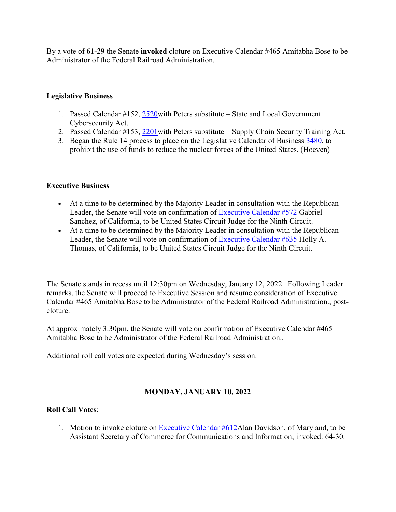By a vote of **61-29** the Senate **invoked** cloture on Executive Calendar #465 Amitabha Bose to be Administrator of the Federal Railroad Administration.

## **Legislative Business**

- 1. Passed Calendar #152, [2520w](http://www.congress.gov/bill/117th-congress/senate-bill/2520)ith Peters substitute State and Local Government Cybersecurity Act.
- 2. Passed Calendar #153, 2201 with Peters substitute Supply Chain Security Training Act.
- 3. Began the Rule 14 process to place on the Legislative Calendar of Business [3480,](http://www.congress.gov/bill/117th-congress/senate-bill/3480) to prohibit the use of funds to reduce the nuclear forces of the United States. (Hoeven)

### **Executive Business**

- At a time to be determined by the Majority Leader in consultation with the Republican Leader, the Senate will vote on confirmation of [Executive Calendar #572](https://www.congress.gov/search?searchResultViewType=compact&q=%7b%22source%22:%22nominations%22,%22search%22:%22calendar+572%22,%22congress%22:%22117%22%7d) Gabriel Sanchez, of California, to be United States Circuit Judge for the Ninth Circuit.
- At a time to be determined by the Majority Leader in consultation with the Republican Leader, the Senate will vote on confirmation of [Executive Calendar #635](https://www.congress.gov/search?searchResultViewType=compact&q=%7b%22source%22:%22nominations%22,%22search%22:%22calendar+635%22,%22congress%22:%22117%22%7d) Holly A. Thomas, of California, to be United States Circuit Judge for the Ninth Circuit.

The Senate stands in recess until 12:30pm on Wednesday, January 12, 2022. Following Leader remarks, the Senate will proceed to Executive Session and resume consideration of Executive Calendar #465 Amitabha Bose to be Administrator of the Federal Railroad Administration., postcloture.

At approximately 3:30pm, the Senate will vote on confirmation of Executive Calendar #465 Amitabha Bose to be Administrator of the Federal Railroad Administration..

Additional roll call votes are expected during Wednesday's session.

# **MONDAY, JANUARY 10, 2022**

### **Roll Call Votes**:

1. Motion to invoke cloture on [Executive Calendar #612A](https://www.congress.gov/search?searchResultViewType=compact&q=%7b%22source%22:%22nominations%22,%22search%22:%22calendar+612%22,%22congress%22:%22117%22%7d)lan Davidson, of Maryland, to be Assistant Secretary of Commerce for Communications and Information; invoked: 64-30.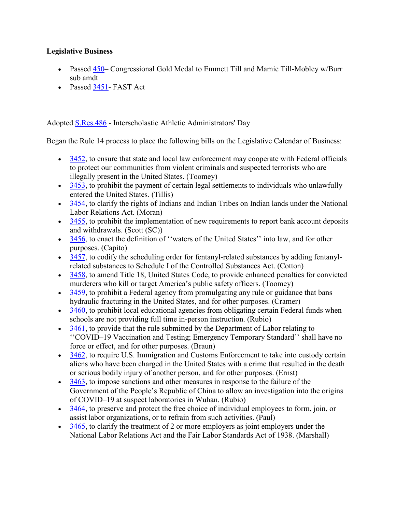### **Legislative Business**

- Passed [450–](http://www.congress.gov/bill/117th-congress/senate-bill/450) Congressional Gold Medal to Emmett Till and Mamie Till-Mobley w/Burr sub amdt
- Passed [3451-](http://www.congress.gov/bill/117th-congress/senate-bill/3451) FAST Act

Adopted [S.Res.486](http://www.congress.gov/bill/117th-congress/senate-resolution/486) - Interscholastic Athletic Administrators' Day

Began the Rule 14 process to place the following bills on the Legislative Calendar of Business:

- [3452,](http://www.congress.gov/bill/117th-congress/senate-bill/3452) to ensure that state and local law enforcement may cooperate with Federal officials to protect our communities from violent criminals and suspected terrorists who are illegally present in the United States. (Toomey)
- $\bullet$  [3453,](http://www.congress.gov/bill/117th-congress/senate-bill/3453) to prohibit the payment of certain legal settlements to individuals who unlawfully entered the United States. (Tillis)
- [3454,](http://www.congress.gov/bill/117th-congress/senate-bill/3454) to clarify the rights of Indians and Indian Tribes on Indian lands under the National Labor Relations Act. (Moran)
- $\cdot$  [3455,](http://www.congress.gov/bill/117th-congress/senate-bill/3455) to prohibit the implementation of new requirements to report bank account deposits and withdrawals. (Scott (SC))
- [3456,](http://www.congress.gov/bill/117th-congress/senate-bill/3456) to enact the definition of "waters of the United States" into law, and for other purposes. (Capito)
- [3457,](http://www.congress.gov/bill/117th-congress/senate-bill/3457) to codify the scheduling order for fentanyl-related substances by adding fentanylrelated substances to Schedule I of the Controlled Substances Act. (Cotton)
- [3458,](http://www.congress.gov/bill/117th-congress/senate-bill/3458) to amend Title 18, United States Code, to provide enhanced penalties for convicted murderers who kill or target America's public safety officers. (Toomey)
- [3459,](http://www.congress.gov/bill/117th-congress/senate-bill/3459) to prohibit a Federal agency from promulgating any rule or guidance that bans hydraulic fracturing in the United States, and for other purposes. (Cramer)
- $\cdot$   $\frac{3460}{360}$ , to prohibit local educational agencies from obligating certain Federal funds when schools are not providing full time in-person instruction. (Rubio)
- [3461,](http://www.congress.gov/bill/117th-congress/senate-bill/3461) to provide that the rule submitted by the Department of Labor relating to ''COVID–19 Vaccination and Testing; Emergency Temporary Standard'' shall have no force or effect, and for other purposes. (Braun)
- [3462,](http://www.congress.gov/bill/117th-congress/senate-bill/3462) to require U.S. Immigration and Customs Enforcement to take into custody certain aliens who have been charged in the United States with a crime that resulted in the death or serious bodily injury of another person, and for other purposes. (Ernst)
- [3463,](http://www.congress.gov/bill/117th-congress/senate-bill/3463) to impose sanctions and other measures in response to the failure of the Government of the People's Republic of China to allow an investigation into the origins of COVID–19 at suspect laboratories in Wuhan. (Rubio)
- $\bullet$  [3464,](http://www.congress.gov/bill/117th-congress/senate-bill/3464) to preserve and protect the free choice of individual employees to form, join, or assist labor organizations, or to refrain from such activities. (Paul)
- $\cdot$   $\frac{3465}{365}$ , to clarify the treatment of 2 or more employers as joint employers under the National Labor Relations Act and the Fair Labor Standards Act of 1938. (Marshall)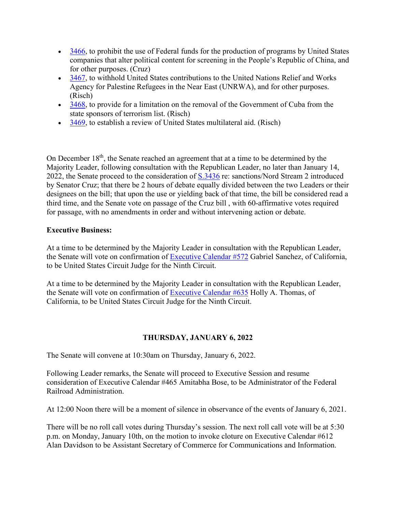- [3466,](http://www.congress.gov/bill/117th-congress/senate-bill/3466) to prohibit the use of Federal funds for the production of programs by United States companies that alter political content for screening in the People's Republic of China, and for other purposes. (Cruz)
- [3467,](http://www.congress.gov/bill/117th-congress/senate-bill/3467) to withhold United States contributions to the United Nations Relief and Works Agency for Palestine Refugees in the Near East (UNRWA), and for other purposes. (Risch)
- [3468,](http://www.congress.gov/bill/117th-congress/senate-bill/3468) to provide for a limitation on the removal of the Government of Cuba from the state sponsors of terrorism list. (Risch)
- [3469,](http://www.congress.gov/bill/117th-congress/senate-bill/3469) to establish a review of United States multilateral aid. (Risch)

On December 18th, the Senate reached an agreement that at a time to be determined by the Majority Leader, following consultation with the Republican Leader, no later than January 14, 2022, the Senate proceed to the consideration of [S.3436](http://www.congress.gov/bill/117th-congress/senate-bill/3436) re: sanctions/Nord Stream 2 introduced by Senator Cruz; that there be 2 hours of debate equally divided between the two Leaders or their designees on the bill; that upon the use or yielding back of that time, the bill be considered read a third time, and the Senate vote on passage of the Cruz bill , with 60-affirmative votes required for passage, with no amendments in order and without intervening action or debate.

#### **Executive Business:**

At a time to be determined by the Majority Leader in consultation with the Republican Leader, the Senate will vote on confirmation of [Executive Calendar #572](https://www.congress.gov/search?searchResultViewType=compact&q=%7b%22source%22:%22nominations%22,%22search%22:%22calendar+572%22,%22congress%22:%22117%22%7d) Gabriel Sanchez, of California, to be United States Circuit Judge for the Ninth Circuit.

At a time to be determined by the Majority Leader in consultation with the Republican Leader, the Senate will vote on confirmation of [Executive Calendar #635](https://www.congress.gov/search?searchResultViewType=compact&q=%7b%22source%22:%22nominations%22,%22search%22:%22calendar+635%22,%22congress%22:%22117%22%7d) Holly A. Thomas, of California, to be United States Circuit Judge for the Ninth Circuit.

### **THURSDAY, JANUARY 6, 2022**

The Senate will convene at 10:30am on Thursday, January 6, 2022.

Following Leader remarks, the Senate will proceed to Executive Session and resume consideration of Executive Calendar #465 Amitabha Bose, to be Administrator of the Federal Railroad Administration.

At 12:00 Noon there will be a moment of silence in observance of the events of January 6, 2021.

There will be no roll call votes during Thursday's session. The next roll call vote will be at 5:30 p.m. on Monday, January 10th, on the motion to invoke cloture on Executive Calendar #612 Alan Davidson to be Assistant Secretary of Commerce for Communications and Information.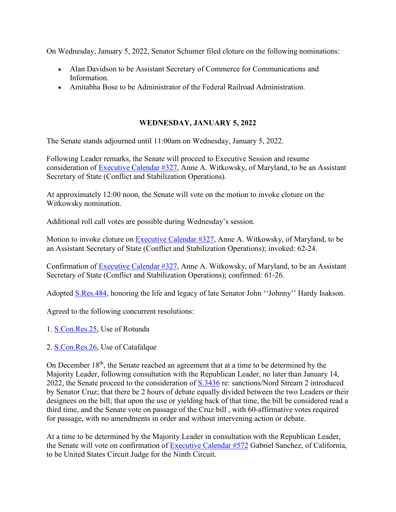On Wednesday, January 5, 2022, Senator Schumer filed cloture on the following nominations:

- Alan Davidson to be Assistant Secretary of Commerce for Communications and Information.
- Amitabha Bose to be Administrator of the Federal Railroad Administration.

## **WEDNESDAY, JANUARY 5, 2022**

The Senate stands adjourned until 11:00am on Wednesday, January 5, 2022.

Following Leader remarks, the Senate will proceed to Executive Session and resume consideration of [Executive Calendar #327,](https://www.congress.gov/search?searchResultViewType=compact&q=%7b%22source%22:%22nominations%22,%22search%22:%22calendar+327%22,%22congress%22:%22117%22%7d) Anne A. Witkowsky, of Maryland, to be an Assistant Secretary of State (Conflict and Stabilization Operations).

At approximately 12:00 noon, the Senate will vote on the motion to invoke cloture on the Witkowsky nomination.

Additional roll call votes are possible during Wednesday's session.

Motion to invoke cloture on [Executive Calendar #327,](https://www.congress.gov/search?searchResultViewType=compact&q=%7b%22source%22:%22nominations%22,%22search%22:%22calendar+327%22,%22congress%22:%22117%22%7d) Anne A. Witkowsky, of Maryland, to be an Assistant Secretary of State (Conflict and Stabilization Operations); invoked: 62-24.

Confirmation of [Executive Calendar #327,](https://www.congress.gov/search?searchResultViewType=compact&q=%7b%22source%22:%22nominations%22,%22search%22:%22calendar+327%22,%22congress%22:%22117%22%7d) Anne A. Witkowsky, of Maryland, to be an Assistant Secretary of State (Conflict and Stabilization Operations); confirmed: 61-26.

Adopted [S.Res.484,](http://www.congress.gov/bill/117th-congress/senate-resolution/484) honoring the life and legacy of late Senator John ''Johnny'' Hardy Isakson.

Agreed to the following concurrent resolutions:

- 1. [S.Con.Res.25,](http://www.congress.gov/bill/117th-congress/senate-concurrent-resolution/25) Use of Rotunda
- 2. [S.Con.Res.26,](http://www.congress.gov/bill/117th-congress/senate-concurrent-resolution/26) Use of Catafalque

On December 18<sup>th</sup>, the Senate reached an agreement that at a time to be determined by the Majority Leader, following consultation with the Republican Leader, no later than January 14, 2022, the Senate proceed to the consideration of  $S.3436$  re: sanctions/Nord Stream 2 introduced by Senator Cruz; that there be 2 hours of debate equally divided between the two Leaders or their designees on the bill; that upon the use or yielding back of that time, the bill be considered read a third time, and the Senate vote on passage of the Cruz bill , with 60-affirmative votes required for passage, with no amendments in order and without intervening action or debate.

At a time to be determined by the Majority Leader in consultation with the Republican Leader, the Senate will vote on confirmation of [Executive Calendar #572](https://www.congress.gov/search?searchResultViewType=compact&q=%7b%22source%22:%22nominations%22,%22search%22:%22calendar+572%22,%22congress%22:%22117%22%7d) Gabriel Sanchez, of California, to be United States Circuit Judge for the Ninth Circuit.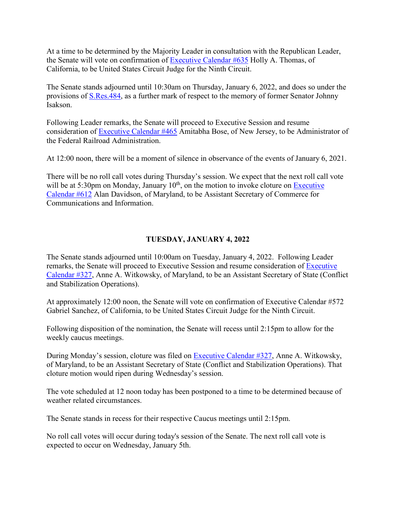At a time to be determined by the Majority Leader in consultation with the Republican Leader, the Senate will vote on confirmation of **[Executive Calendar #635](https://www.congress.gov/search?searchResultViewType=compact&q=%7b%22source%22:%22nominations%22,%22search%22:%22calendar+635%22,%22congress%22:%22117%22%7d)** Holly A. Thomas, of California, to be United States Circuit Judge for the Ninth Circuit.

The Senate stands adjourned until 10:30am on Thursday, January 6, 2022, and does so under the provisions of [S.Res.484,](http://www.congress.gov/bill/117th-congress/senate-resolution/484) as a further mark of respect to the memory of former Senator Johnny Isakson.

Following Leader remarks, the Senate will proceed to Executive Session and resume consideration of [Executive Calendar #465](https://www.congress.gov/search?searchResultViewType=compact&q=%7b%22source%22:%22nominations%22,%22search%22:%22calendar+465%22,%22congress%22:%22117%22%7d) Amitabha Bose, of New Jersey, to be Administrator of the Federal Railroad Administration.

At 12:00 noon, there will be a moment of silence in observance of the events of January 6, 2021.

There will be no roll call votes during Thursday's session. We expect that the next roll call vote will be at 5:30pm on Monday, January  $10<sup>th</sup>$ , on the motion to invoke cloture on Executive [Calendar #612](https://www.congress.gov/search?searchResultViewType=compact&q=%7b%22source%22:%22nominations%22,%22search%22:%22calendar+612%22,%22congress%22:%22117%22%7d) Alan Davidson, of Maryland, to be Assistant Secretary of Commerce for Communications and Information.

### **TUESDAY, JANUARY 4, 2022**

The Senate stands adjourned until 10:00am on Tuesday, January 4, 2022. Following Leader remarks, the Senate will proceed to [Executive](https://www.congress.gov/search?searchResultViewType=compact&q=%7b%22source%22:%22nominations%22,%22search%22:%22calendar+327%22,%22congress%22:%22117%22%7d) Session and resume consideration of Executive [Calendar #327,](https://www.congress.gov/search?searchResultViewType=compact&q=%7b%22source%22:%22nominations%22,%22search%22:%22calendar+327%22,%22congress%22:%22117%22%7d) Anne A. Witkowsky, of Maryland, to be an Assistant Secretary of State (Conflict and Stabilization Operations).

At approximately 12:00 noon, the Senate will vote on confirmation of Executive Calendar #572 Gabriel Sanchez, of California, to be United States Circuit Judge for the Ninth Circuit.

Following disposition of the nomination, the Senate will recess until 2:15pm to allow for the weekly caucus meetings.

During Monday's session, cloture was filed on [Executive Calendar #327,](https://www.congress.gov/search?searchResultViewType=compact&q=%7b%22source%22:%22nominations%22,%22search%22:%22calendar+327%22,%22congress%22:%22117%22%7d) Anne A. Witkowsky, of Maryland, to be an Assistant Secretary of State (Conflict and Stabilization Operations). That cloture motion would ripen during Wednesday's session.

The vote scheduled at 12 noon today has been postponed to a time to be determined because of weather related circumstances.

The Senate stands in recess for their respective Caucus meetings until 2:15pm.

No roll call votes will occur during today's session of the Senate. The next roll call vote is expected to occur on Wednesday, January 5th.